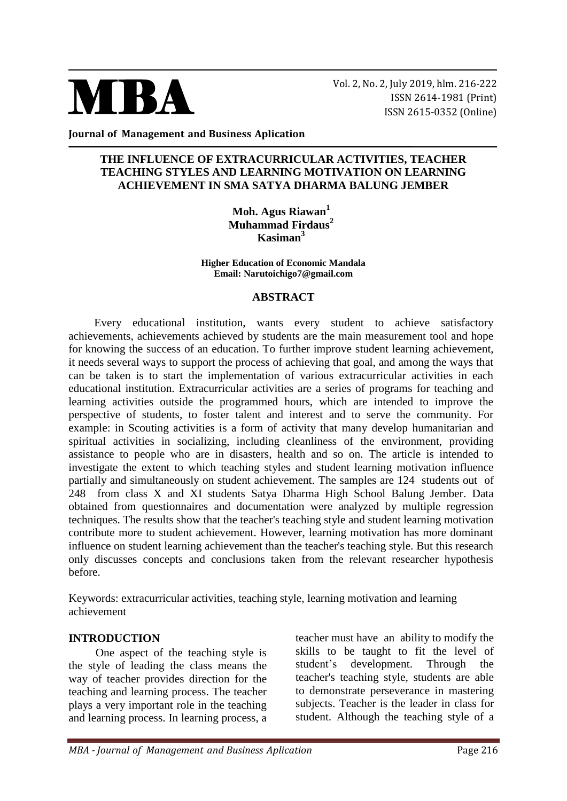

Vol. 2, No. 2, July 2019, hlm. 216-222 ISSN 2614-1981 (Print) ISSN 2615-0352 (Online)

**Journal of Management and Business Aplication**

## **THE INFLUENCE OF EXTRACURRICULAR ACTIVITIES, TEACHER TEACHING STYLES AND LEARNING MOTIVATION ON LEARNING ACHIEVEMENT IN SMA SATYA DHARMA BALUNG JEMBER**

**Moh. Agus Riawan<sup>1</sup> Muhammad Firdaus<sup>2</sup> Kasiman<sup>3</sup>**

**Higher Education of Economic Mandala Email: Narutoichigo7@gmail.com**

#### **ABSTRACT**

Every educational institution, wants every student to achieve satisfactory achievements, achievements achieved by students are the main measurement tool and hope for knowing the success of an education. To further improve student learning achievement, it needs several ways to support the process of achieving that goal, and among the ways that can be taken is to start the implementation of various extracurricular activities in each educational institution. Extracurricular activities are a series of programs for teaching and learning activities outside the programmed hours, which are intended to improve the perspective of students, to foster talent and interest and to serve the community. For example: in Scouting activities is a form of activity that many develop humanitarian and spiritual activities in socializing, including cleanliness of the environment, providing assistance to people who are in disasters, health and so on. The article is intended to investigate the extent to which teaching styles and student learning motivation influence partially and simultaneously on student achievement. The samples are 124 students out of 248 from class X and XI students Satya Dharma High School Balung Jember. Data obtained from questionnaires and documentation were analyzed by multiple regression techniques. The results show that the teacher's teaching style and student learning motivation contribute more to student achievement. However, learning motivation has more dominant influence on student learning achievement than the teacher's teaching style. But this research only discusses concepts and conclusions taken from the relevant researcher hypothesis before.

Keywords: extracurricular activities, teaching style, learning motivation and learning achievement

#### **INTRODUCTION**

One aspect of the teaching style is the style of leading the class means the way of teacher provides direction for the teaching and learning process. The teacher plays a very important role in the teaching and learning process. In learning process, a teacher must have an ability to modify the skills to be taught to fit the level of student's development. Through the teacher's teaching style, students are able to demonstrate perseverance in mastering subjects. Teacher is the leader in class for student. Although the teaching style of a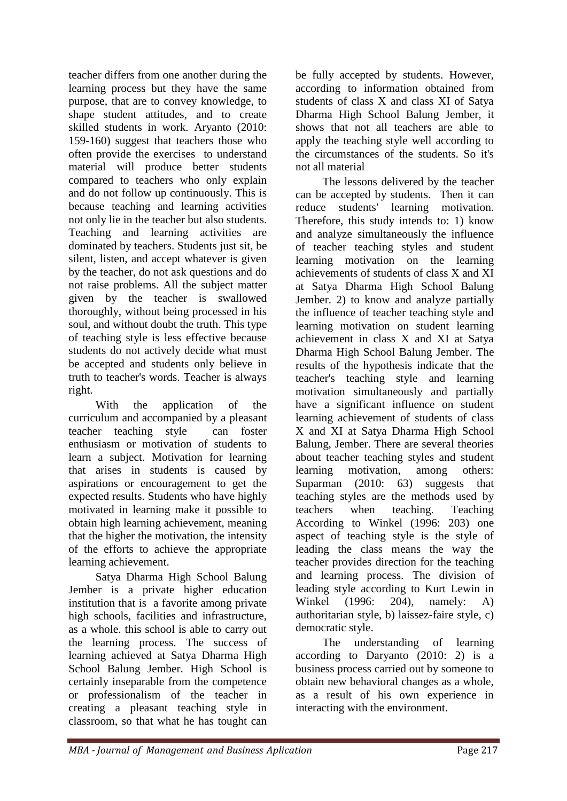teacher differs from one another during the learning process but they have the same purpose, that are to convey knowledge, to shape student attitudes, and to create skilled students in work. Aryanto (2010: 159-160) suggest that teachers those who often provide the exercises to understand material will produce better students compared to teachers who only explain and do not follow up continuously. This is because teaching and learning activities not only lie in the teacher but also students. Teaching and learning activities are dominated by teachers. Students just sit, be silent, listen, and accept whatever is given by the teacher, do not ask questions and do not raise problems. All the subject matter given by the teacher is swallowed thoroughly, without being processed in his soul, and without doubt the truth. This type of teaching style is less effective because students do not actively decide what must be accepted and students only believe in truth to teacher's words. Teacher is always right.

With the application of the curriculum and accompanied by a pleasant teacher teaching style can foster enthusiasm or motivation of students to learn a subject. Motivation for learning that arises in students is caused by aspirations or encouragement to get the expected results. Students who have highly motivated in learning make it possible to obtain high learning achievement, meaning that the higher the motivation, the intensity of the efforts to achieve the appropriate learning achievement.

Satya Dharma High School Balung Jember is a private higher education institution that is a favorite among private high schools, facilities and infrastructure, as a whole. this school is able to carry out the learning process. The success of learning achieved at Satya Dharma High School Balung Jember. High School is certainly inseparable from the competence or professionalism of the teacher in creating a pleasant teaching style in classroom, so that what he has tought can

be fully accepted by students. However, according to information obtained from students of class X and class XI of Satya Dharma High School Balung Jember, it shows that not all teachers are able to apply the teaching style well according to the circumstances of the students. So it's not all material

The lessons delivered by the teacher can be accepted by students. Then it can reduce students' learning motivation. Therefore, this study intends to: 1) know and analyze simultaneously the influence of teacher teaching styles and student learning motivation on the learning achievements of students of class X and XI at Satya Dharma High School Balung Jember. 2) to know and analyze partially the influence of teacher teaching style and learning motivation on student learning achievement in class X and XI at Satya Dharma High School Balung Jember. The results of the hypothesis indicate that the teacher's teaching style and learning motivation simultaneously and partially have a significant influence on student learning achievement of students of class X and XI at Satya Dharma High School Balung, Jember. There are several theories about teacher teaching styles and student learning motivation, among others: Suparman (2010: 63) suggests that teaching styles are the methods used by teachers when teaching. Teaching According to Winkel (1996: 203) one aspect of teaching style is the style of leading the class means the way the teacher provides direction for the teaching and learning process. The division of leading style according to Kurt Lewin in Winkel (1996: 204), namely: A) authoritarian style, b) laissez-faire style, c) democratic style.

The understanding of learning according to Daryanto (2010: 2) is a business process carried out by someone to obtain new behavioral changes as a whole, as a result of his own experience in interacting with the environment.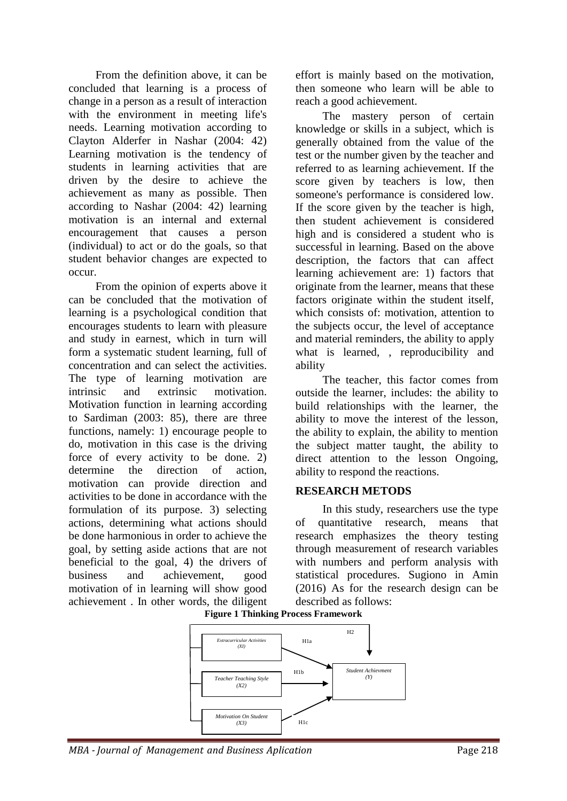From the definition above, it can be concluded that learning is a process of change in a person as a result of interaction with the environment in meeting life's needs. Learning motivation according to Clayton Alderfer in Nashar (2004: 42) Learning motivation is the tendency of students in learning activities that are driven by the desire to achieve the achievement as many as possible. Then according to Nashar (2004: 42) learning motivation is an internal and external encouragement that causes a person (individual) to act or do the goals, so that student behavior changes are expected to occur.

From the opinion of experts above it can be concluded that the motivation of learning is a psychological condition that encourages students to learn with pleasure and study in earnest, which in turn will form a systematic student learning, full of concentration and can select the activities. The type of learning motivation are intrinsic and extrinsic motivation. Motivation function in learning according to Sardiman (2003: 85), there are three functions, namely: 1) encourage people to do, motivation in this case is the driving force of every activity to be done. 2) determine the direction of action, motivation can provide direction and activities to be done in accordance with the formulation of its purpose. 3) selecting actions, determining what actions should be done harmonious in order to achieve the goal, by setting aside actions that are not beneficial to the goal, 4) the drivers of business and achievement, good motivation of in learning will show good achievement . In other words, the diligent effort is mainly based on the motivation, then someone who learn will be able to reach a good achievement.

The mastery person of certain knowledge or skills in a subject, which is generally obtained from the value of the test or the number given by the teacher and referred to as learning achievement. If the score given by teachers is low, then someone's performance is considered low. If the score given by the teacher is high, then student achievement is considered high and is considered a student who is successful in learning. Based on the above description, the factors that can affect learning achievement are: 1) factors that originate from the learner, means that these factors originate within the student itself, which consists of: motivation, attention to the subjects occur, the level of acceptance and material reminders, the ability to apply what is learned, , reproducibility and ability

The teacher, this factor comes from outside the learner, includes: the ability to build relationships with the learner, the ability to move the interest of the lesson, the ability to explain, the ability to mention the subject matter taught, the ability to direct attention to the lesson Ongoing, ability to respond the reactions.

## **RESEARCH METODS**

In this study, researchers use the type of quantitative research, means that research emphasizes the theory testing through measurement of research variables with numbers and perform analysis with statistical procedures. Sugiono in Amin (2016) As for the research design can be described as follows:

**Figure 1 Thinking Process Framework**

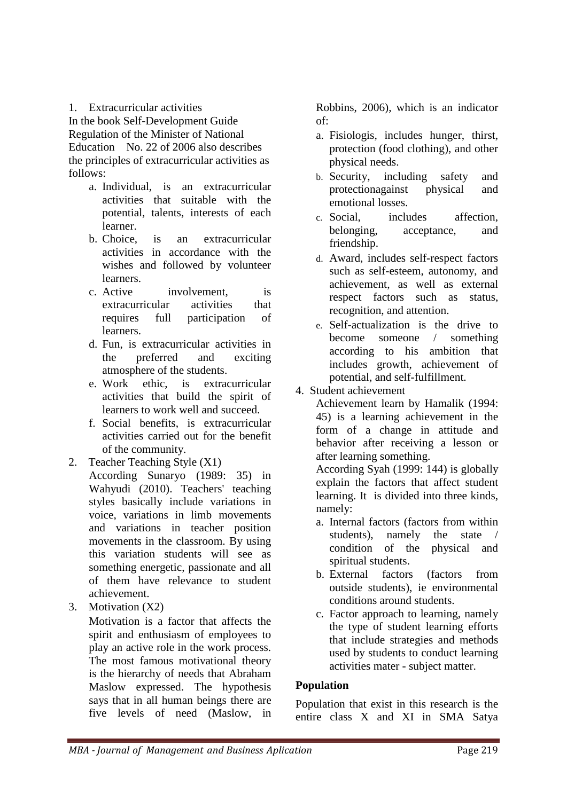1. Extracurricular activities

In the book Self-Development Guide Regulation of the Minister of National Education No. 22 of 2006 also describes the principles of extracurricular activities as follows:

- a. Individual, is an extracurricular activities that suitable with the potential, talents, interests of each learner.
- b. Choice, is an extracurricular activities in accordance with the wishes and followed by volunteer learners.
- c. Active involvement, is extracurricular activities that requires full participation of learners.
- d. Fun, is extracurricular activities in the preferred and exciting atmosphere of the students.
- e. Work ethic, is extracurricular activities that build the spirit of learners to work well and succeed.
- f. Social benefits, is extracurricular activities carried out for the benefit of the community.
- 2. Teacher Teaching Style (X1) According Sunaryo (1989: 35) in Wahyudi (2010). Teachers' teaching styles basically include variations in voice, variations in limb movements and variations in teacher position movements in the classroom. By using this variation students will see as something energetic, passionate and all of them have relevance to student achievement.
- 3. Motivation (X2)

Motivation is a factor that affects the spirit and enthusiasm of employees to play an active role in the work process. The most famous motivational theory is the hierarchy of needs that Abraham Maslow expressed. The hypothesis says that in all human beings there are five levels of need (Maslow, in Robbins, 2006), which is an indicator of:

- a. Fisiologis, includes hunger, thirst, protection (food clothing), and other physical needs.
- b. Security, including safety and protectionagainst physical and emotional losses.
- c. Social, includes affection, belonging, acceptance, and friendship.
- d. Award, includes self-respect factors such as self-esteem, autonomy, and achievement, as well as external respect factors such as status, recognition, and attention.
- e. Self-actualization is the drive to become someone / something according to his ambition that includes growth, achievement of potential, and self-fulfillment.
- 4. Student achievement

Achievement learn by Hamalik (1994: 45) is a learning achievement in the form of a change in attitude and behavior after receiving a lesson or after learning something.

According Syah (1999: 144) is globally explain the factors that affect student learning. It is divided into three kinds, namely:

- a. Internal factors (factors from within students), namely the state / condition of the physical and spiritual students.
- b. External factors (factors from outside students), ie environmental conditions around students.
- c. Factor approach to learning, namely the type of student learning efforts that include strategies and methods used by students to conduct learning activities mater - subject matter.

# **Population**

Population that exist in this research is the entire class X and XI in SMA Satya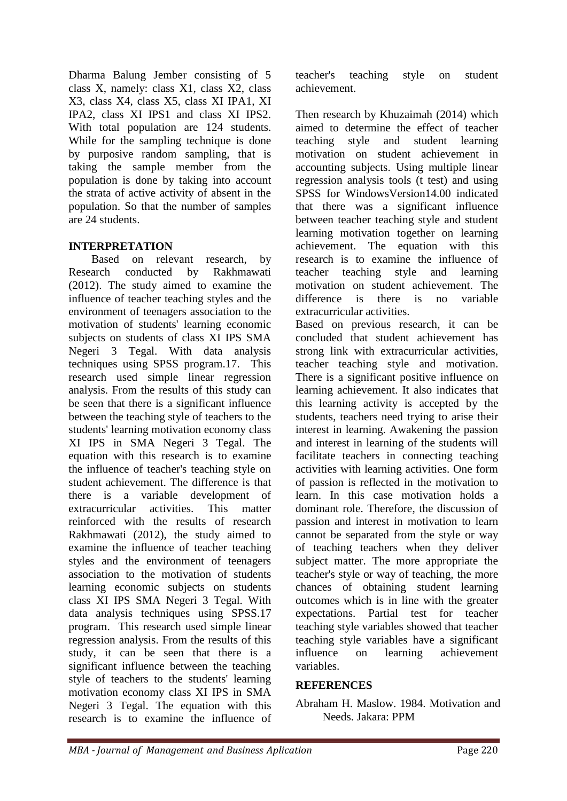Dharma Balung Jember consisting of 5 class X, namely: class X1, class X2, class X3, class X4, class X5, class XI IPA1, XI IPA2, class XI IPS1 and class XI IPS2. With total population are 124 students. While for the sampling technique is done by purposive random sampling, that is taking the sample member from the population is done by taking into account the strata of active activity of absent in the population. So that the number of samples are 24 students.

## **INTERPRETATION**

 Based on relevant research, by Research conducted by Rakhmawati (2012). The study aimed to examine the influence of teacher teaching styles and the environment of teenagers association to the motivation of students' learning economic subjects on students of class XI IPS SMA Negeri 3 Tegal. With data analysis techniques using SPSS program.17. This research used simple linear regression analysis. From the results of this study can be seen that there is a significant influence between the teaching style of teachers to the students' learning motivation economy class XI IPS in SMA Negeri 3 Tegal. The equation with this research is to examine the influence of teacher's teaching style on student achievement. The difference is that there is a variable development of extracurricular activities. This matter reinforced with the results of research Rakhmawati (2012), the study aimed to examine the influence of teacher teaching styles and the environment of teenagers association to the motivation of students learning economic subjects on students class XI IPS SMA Negeri 3 Tegal. With data analysis techniques using SPSS.17 program. This research used simple linear regression analysis. From the results of this study, it can be seen that there is a significant influence between the teaching style of teachers to the students' learning motivation economy class XI IPS in SMA Negeri 3 Tegal. The equation with this research is to examine the influence of

teacher's teaching style on student achievement.

Then research by Khuzaimah (2014) which aimed to determine the effect of teacher teaching style and student learning motivation on student achievement in accounting subjects. Using multiple linear regression analysis tools (t test) and using SPSS for WindowsVersion14.00 indicated that there was a significant influence between teacher teaching style and student learning motivation together on learning achievement. The equation with this research is to examine the influence of teacher teaching style and learning motivation on student achievement. The difference is there is no variable extracurricular activities. Based on previous research, it can be concluded that student achievement has strong link with extracurricular activities, teacher teaching style and motivation. There is a significant positive influence on learning achievement. It also indicates that this learning activity is accepted by the students, teachers need trying to arise their interest in learning. Awakening the passion and interest in learning of the students will facilitate teachers in connecting teaching activities with learning activities. One form of passion is reflected in the motivation to learn. In this case motivation holds a dominant role. Therefore, the discussion of passion and interest in motivation to learn cannot be separated from the style or way of teaching teachers when they deliver subject matter. The more appropriate the teacher's style or way of teaching, the more chances of obtaining student learning outcomes which is in line with the greater expectations. Partial test for teacher teaching style variables showed that teacher teaching style variables have a significant influence on learning achievement variables.

## **REFERENCES**

Abraham H. Maslow. 1984. Motivation and Needs. Jakara: PPM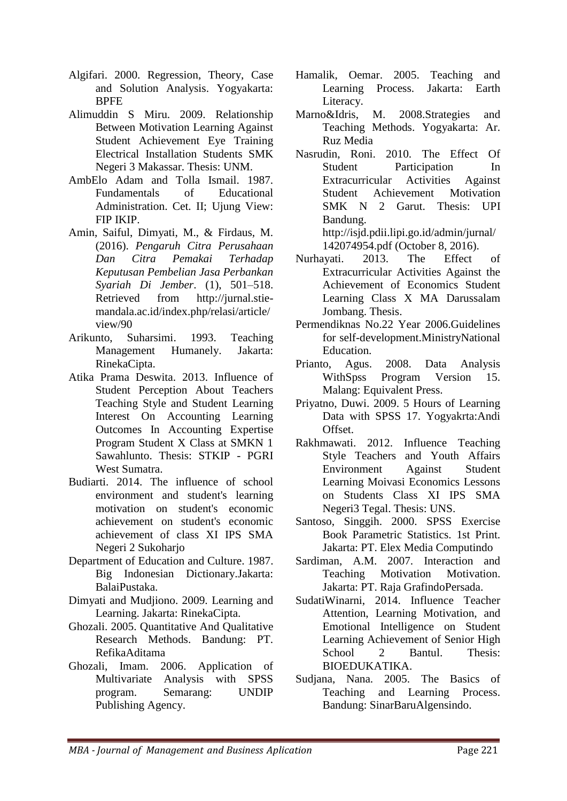- Algifari. 2000. Regression, Theory, Case and Solution Analysis. Yogyakarta: **BPFE**
- Alimuddin S Miru. 2009. Relationship Between Motivation Learning Against Student Achievement Eye Training Electrical Installation Students SMK Negeri 3 Makassar. Thesis: UNM.
- AmbElo Adam and Tolla Ismail. 1987. Fundamentals of Educational Administration. Cet. II; Ujung View: FIP IKIP.
- Amin, Saiful, Dimyati, M., & Firdaus, M. (2016). *Pengaruh Citra Perusahaan Dan Citra Pemakai Terhadap Keputusan Pembelian Jasa Perbankan Syariah Di Jember*. (1), 501–518. Retrieved from http://jurnal.stiemandala.ac.id/index.php/relasi/article/ view/90
- Arikunto, Suharsimi. 1993. Teaching Management Humanely. Jakarta: RinekaCipta.
- Atika Prama Deswita. 2013. Influence of Student Perception About Teachers Teaching Style and Student Learning Interest On Accounting Learning Outcomes In Accounting Expertise Program Student X Class at SMKN 1 Sawahlunto. Thesis: STKIP - PGRI West Sumatra.
- Budiarti. 2014. The influence of school environment and student's learning motivation on student's economic achievement on student's economic achievement of class XI IPS SMA Negeri 2 Sukoharjo
- Department of Education and Culture. 1987. Big Indonesian Dictionary.Jakarta: BalaiPustaka.
- Dimyati and Mudjiono. 2009. Learning and Learning. Jakarta: RinekaCipta.
- Ghozali. 2005. Quantitative And Qualitative Research Methods. Bandung: PT. RefikaAditama
- Ghozali, Imam. 2006. Application of Multivariate Analysis with SPSS program. Semarang: UNDIP Publishing Agency.
- Hamalik, Oemar. 2005. Teaching and Learning Process. Jakarta: Earth Literacy.
- Marno&Idris, M. 2008.Strategies and Teaching Methods. Yogyakarta: Ar. Ruz Media
- Nasrudin, Roni. 2010. The Effect Of Student Participation In Extracurricular Activities Against Student Achievement Motivation SMK N 2 Garut. Thesis: UPI Bandung. http://isjd.pdii.lipi.go.id/admin/jurnal/ 142074954.pdf (October 8, 2016).
- Nurhayati. 2013. The Effect of Extracurricular Activities Against the Achievement of Economics Student Learning Class X MA Darussalam Jombang. Thesis.
- Permendiknas No.22 Year 2006.Guidelines for self-development.MinistryNational Education.
- Prianto, Agus. 2008. Data Analysis WithSpss Program Version 15. Malang: Equivalent Press.
- Priyatno, Duwi. 2009. 5 Hours of Learning Data with SPSS 17. Yogyakrta:Andi Offset.
- Rakhmawati. 2012. Influence Teaching Style Teachers and Youth Affairs Environment Against Student Learning Moivasi Economics Lessons on Students Class XI IPS SMA Negeri3 Tegal. Thesis: UNS.
- Santoso, Singgih. 2000. SPSS Exercise Book Parametric Statistics. 1st Print. Jakarta: PT. Elex Media Computindo
- Sardiman, A.M. 2007. Interaction and Teaching Motivation Motivation. Jakarta: PT. Raja GrafindoPersada.
- SudatiWinarni, 2014. Influence Teacher Attention, Learning Motivation, and Emotional Intelligence on Student Learning Achievement of Senior High School 2 Bantul. Thesis: BIOEDUKATIKA.
- Sudjana, Nana. 2005. The Basics of Teaching and Learning Process. Bandung: SinarBaruAlgensindo.